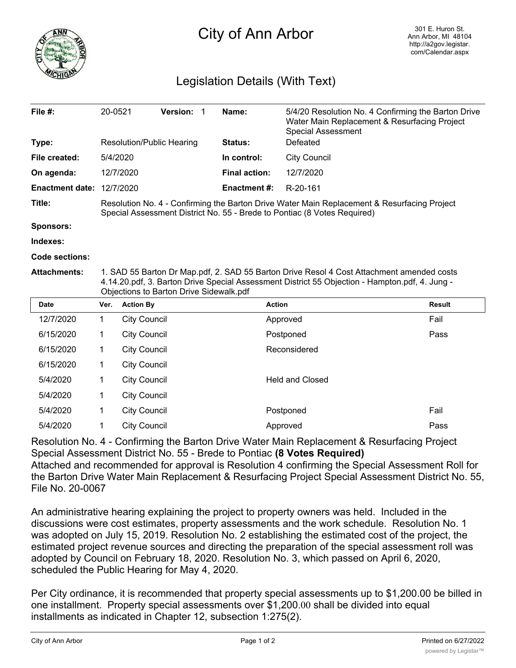

## City of Ann Arbor

## Legislation Details (With Text)

| File $#$ :             | 20-0521                                                                                                                                                                                                                                | <b>Version: 1</b>                | Name:                | 5/4/20 Resolution No. 4 Confirming the Barton Drive<br>Water Main Replacement & Resurfacing Project<br><b>Special Assessment</b> |        |  |  |  |
|------------------------|----------------------------------------------------------------------------------------------------------------------------------------------------------------------------------------------------------------------------------------|----------------------------------|----------------------|----------------------------------------------------------------------------------------------------------------------------------|--------|--|--|--|
| Type:                  |                                                                                                                                                                                                                                        | <b>Resolution/Public Hearing</b> | <b>Status:</b>       | Defeated                                                                                                                         |        |  |  |  |
| File created:          | 5/4/2020                                                                                                                                                                                                                               |                                  | In control:          | <b>City Council</b>                                                                                                              |        |  |  |  |
| On agenda:             |                                                                                                                                                                                                                                        | 12/7/2020                        | <b>Final action:</b> | 12/7/2020                                                                                                                        |        |  |  |  |
| <b>Enactment date:</b> |                                                                                                                                                                                                                                        | 12/7/2020                        | Enactment #:         | R-20-161                                                                                                                         |        |  |  |  |
| Title:                 | Resolution No. 4 - Confirming the Barton Drive Water Main Replacement & Resurfacing Project<br>Special Assessment District No. 55 - Brede to Pontiac (8 Votes Required)                                                                |                                  |                      |                                                                                                                                  |        |  |  |  |
| <b>Sponsors:</b>       |                                                                                                                                                                                                                                        |                                  |                      |                                                                                                                                  |        |  |  |  |
| Indexes:               |                                                                                                                                                                                                                                        |                                  |                      |                                                                                                                                  |        |  |  |  |
| Code sections:         |                                                                                                                                                                                                                                        |                                  |                      |                                                                                                                                  |        |  |  |  |
| <b>Attachments:</b>    | 1. SAD 55 Barton Dr Map.pdf, 2. SAD 55 Barton Drive Resol 4 Cost Attachment amended costs<br>4.14.20.pdf, 3. Barton Drive Special Assessment District 55 Objection - Hampton.pdf, 4. Jung -<br>Objections to Barton Drive Sidewalk.pdf |                                  |                      |                                                                                                                                  |        |  |  |  |
| <b>Date</b>            | Ver.                                                                                                                                                                                                                                   | <b>Action By</b>                 | <b>Action</b>        |                                                                                                                                  | Result |  |  |  |
| 12/7/2020              | 1.                                                                                                                                                                                                                                     | <b>City Council</b>              |                      | Approved                                                                                                                         | Fail   |  |  |  |
| 6/15/2020              | 1                                                                                                                                                                                                                                      | <b>City Council</b>              |                      | Postponed                                                                                                                        | Pass   |  |  |  |
| 6/15/2020              | 1                                                                                                                                                                                                                                      | <b>City Council</b>              |                      | Reconsidered                                                                                                                     |        |  |  |  |
|                        |                                                                                                                                                                                                                                        |                                  |                      |                                                                                                                                  |        |  |  |  |

| 6/15/2020 | <b>City Council</b> | Reconsidered           |      |
|-----------|---------------------|------------------------|------|
| 6/15/2020 | <b>City Council</b> |                        |      |
| 5/4/2020  | <b>City Council</b> | <b>Held and Closed</b> |      |
| 5/4/2020  | <b>City Council</b> |                        |      |
| 5/4/2020  | <b>City Council</b> | Postponed              | Fail |
| 5/4/2020  | <b>City Council</b> | Approved               | Pass |
|           |                     |                        |      |

Resolution No. 4 - Confirming the Barton Drive Water Main Replacement & Resurfacing Project Special Assessment District No. 55 - Brede to Pontiac **(8 Votes Required)** Attached and recommended for approval is Resolution 4 confirming the Special Assessment Roll for the Barton Drive Water Main Replacement & Resurfacing Project Special Assessment District No. 55, File No. 20-0067

An administrative hearing explaining the project to property owners was held. Included in the discussions were cost estimates, property assessments and the work schedule. Resolution No. 1 was adopted on July 15, 2019. Resolution No. 2 establishing the estimated cost of the project, the estimated project revenue sources and directing the preparation of the special assessment roll was adopted by Council on February 18, 2020. Resolution No. 3, which passed on April 6, 2020, scheduled the Public Hearing for May 4, 2020.

Per City ordinance, it is recommended that property special assessments up to \$1,200.00 be billed in one installment. Property special assessments over \$1,200.00 shall be divided into equal installments as indicated in Chapter 12, subsection 1:275(2).